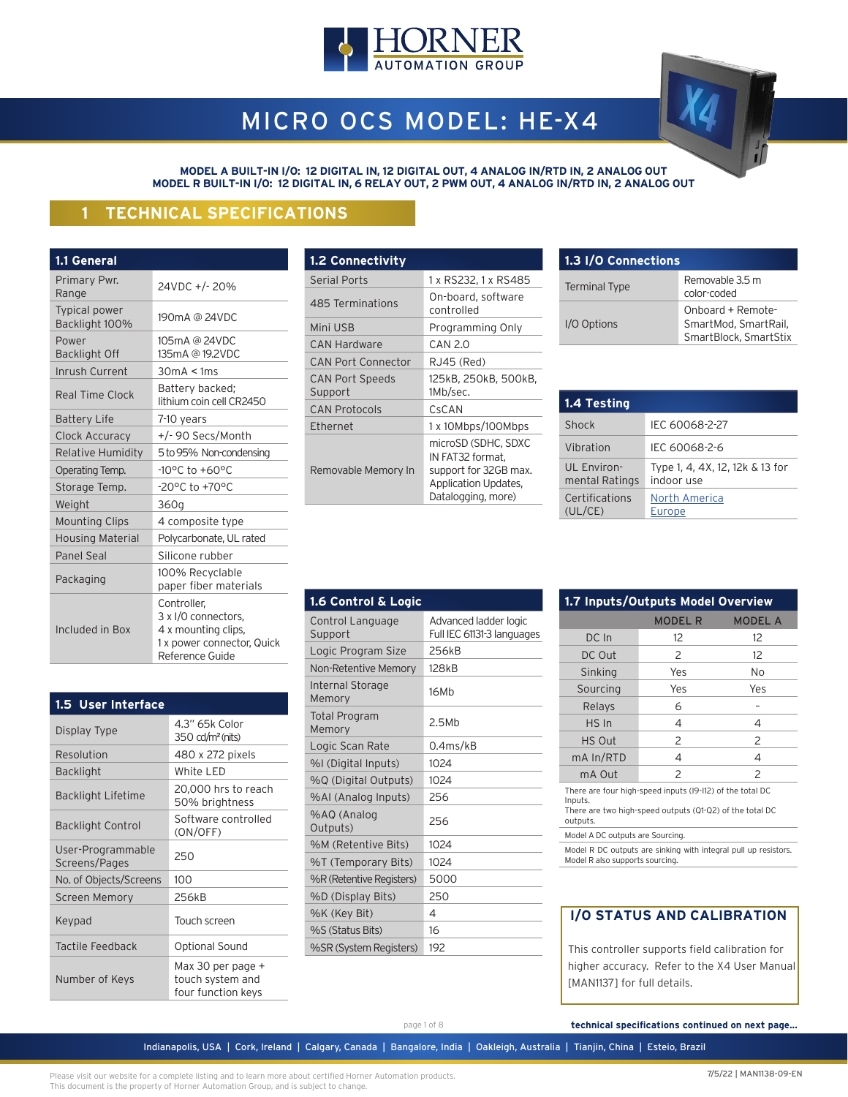

# MICRO OCS MODEL: HE-X4

**MODEL A BUILT-IN I/O: 12 DIGITAL IN, 12 DIGITAL OUT, 4 ANALOG IN/RTD IN, 2 ANALOG OUT MODEL R BUILT-IN I/O: 12 DIGITAL IN, 6 RELAY OUT, 2 PWM OUT, 4 ANALOG IN/RTD IN, 2 ANALOG OUT**

# **1 TECHNICAL SPECIFICATIONS**

| 1.1 General                     |                                                                                                            |
|---------------------------------|------------------------------------------------------------------------------------------------------------|
| Primary Pwr.<br>Range           | 24VDC +/-20%                                                                                               |
| Typical power<br>Backlight 100% | 190mA @ 24VDC                                                                                              |
| Power<br><b>Backlight Off</b>   | 105mA @ 24VDC<br>135mA @ 19.2VDC                                                                           |
| Inrush Current                  | 30mA < 1ms                                                                                                 |
| Real Time Clock                 | Battery backed;<br>lithium coin cell CR2450                                                                |
| <b>Battery Life</b>             | 7-10 years                                                                                                 |
| Clock Accuracy                  | +/- 90 Secs/Month                                                                                          |
| Relative Humidity               | 5 to 95% Non-condensing                                                                                    |
| Operating Temp.                 | $-10^{\circ}$ C to $+60^{\circ}$ C                                                                         |
| Storage Temp.                   | -20°C to +70°C                                                                                             |
| Weight                          | 360g                                                                                                       |
| <b>Mounting Clips</b>           | 4 composite type                                                                                           |
| <b>Housing Material</b>         | Polycarbonate, UL rated                                                                                    |
| <b>Panel Seal</b>               | Silicone rubber                                                                                            |
| Packaging                       | 100% Recyclable<br>paper fiber materials                                                                   |
| Included in Box                 | Controller,<br>3 x I/O connectors,<br>4 x mounting clips,<br>1 x power connector, Quick<br>Reference Guide |

| 1.5 User Interface                 |                                                             |
|------------------------------------|-------------------------------------------------------------|
| Display Type                       | 4.3" 65k Color<br>$350 \text{ cd/m}^2$ (nits)               |
| Resolution                         | 480 x 272 pixels                                            |
| <b>Backlight</b>                   | White LED                                                   |
| <b>Backlight Lifetime</b>          | 20,000 hrs to reach<br>50% brightness                       |
| <b>Backlight Control</b>           | Software controlled<br>(ON/OFF)                             |
| User-Programmable<br>Screens/Pages | 250                                                         |
| No. of Objects/Screens             | 100                                                         |
| <b>Screen Memory</b>               | 256kB                                                       |
| Keypad                             | Touch screen                                                |
| Tactile Feedback                   | <b>Optional Sound</b>                                       |
| Number of Keys                     | Max 30 per page +<br>touch system and<br>four function keys |

| <b>1.2 Connectivity</b>           |                                                                                                                |
|-----------------------------------|----------------------------------------------------------------------------------------------------------------|
| <b>Serial Ports</b>               | 1 x RS232, 1 x RS485                                                                                           |
| 485 Terminations                  | On-board, software<br>controlled                                                                               |
| Mini USB                          | Programming Only                                                                                               |
| <b>CAN Hardware</b>               | CAN 2.0                                                                                                        |
| <b>CAN Port Connector</b>         | RJ45 (Red)                                                                                                     |
| <b>CAN Port Speeds</b><br>Support | 125kB, 250kB, 500kB,<br>1Mb/sec.                                                                               |
| <b>CAN Protocols</b>              | CsCAN                                                                                                          |
| <b>Fthernet</b>                   | 1 x 10Mbps/100Mbps                                                                                             |
| Removable Memory In               | microSD (SDHC, SDXC<br>IN FAT32 format,<br>support for 32GB max.<br>Application Updates,<br>Datalogging, more) |

| 1.3 I/O Connections  |                                                                    |
|----------------------|--------------------------------------------------------------------|
| <b>Terminal Type</b> | Removable 3.5 m<br>color-coded                                     |
| I/O Options          | Onboard + Remote-<br>SmartMod, SmartRail,<br>SmartBlock, SmartStix |

| 1.4 Testing                   |                                               |
|-------------------------------|-----------------------------------------------|
| Shock                         | IEC 60068-2-27                                |
| Vibration                     | IFC 60068-2-6                                 |
| UL Environ-<br>mental Ratings | Type 1, 4, 4X, 12, 12k & 13 for<br>indoor use |
| Certifications<br>(UL/CE)     | North America<br>Europe                       |

| 1.6 Control & Logic            |                                                     |
|--------------------------------|-----------------------------------------------------|
| Control Language<br>Support    | Advanced ladder logic<br>Full IEC 61131-3 languages |
| Logic Program Size             | 256kB                                               |
| Non-Retentive Memory           | 128 <sub>kB</sub>                                   |
| Internal Storage<br>Memory     | 16Mb                                                |
| <b>Total Program</b><br>Memory | 2.5Mh                                               |
| Logic Scan Rate                | 0.4ms/kB                                            |
| %I (Digital Inputs)            | 1024                                                |
| %Q (Digital Outputs)           | 1024                                                |
| %AI (Analog Inputs)            | 256                                                 |
| %AQ (Analog<br>Outputs)        | 256                                                 |
| %M (Retentive Bits)            | 1024                                                |
| %T (Temporary Bits)            | 1024                                                |
| %R (Retentive Registers)       | 5000                                                |
| %D (Display Bits)              | 250                                                 |
| %K (Key Bit)                   | 4                                                   |
| %S (Status Bits)               | 16                                                  |
| %SR (System Registers)         | 192                                                 |

| 1.7 Inputs/Outputs Model Overview |                |                |
|-----------------------------------|----------------|----------------|
|                                   | <b>MODEL R</b> | <b>MODEL A</b> |
| DC In                             | 12             | 12             |
| DC Out                            | $\mathcal{P}$  | 12             |
| Sinking                           | Yes            | No             |
| Sourcing                          | Yes            | Yes            |
| Relays                            | 6              |                |
| HS In                             | 4              | 4              |
| HS Out                            | $\mathcal{P}$  | $\overline{c}$ |
| mA In/RTD                         | 4              | 4              |
| mA Out                            | 2              | 2              |

There are four high-speed inputs (I9-I12) of the total DC Inputs. There are two high-speed outputs (Q1-Q2) of the total DC

outputs.

Model A DC outputs are Sourcing.

Model R DC outputs are sinking with integral pull up resistors. Model R also supports sourcing.

# **I/O STATUS AND CALIBRATION**

 This controller supports field calibration for higher accuracy. Refer to the X4 User Manual [MAN1137] for full details.

page 1 of 8 **technical specifications continued on next page...**

Indianapolis, USA | Cork, Ireland | Calgary, Canada | Bangalore, India | Oakleigh, Australia | Tianjin, China | Esteio, Brazil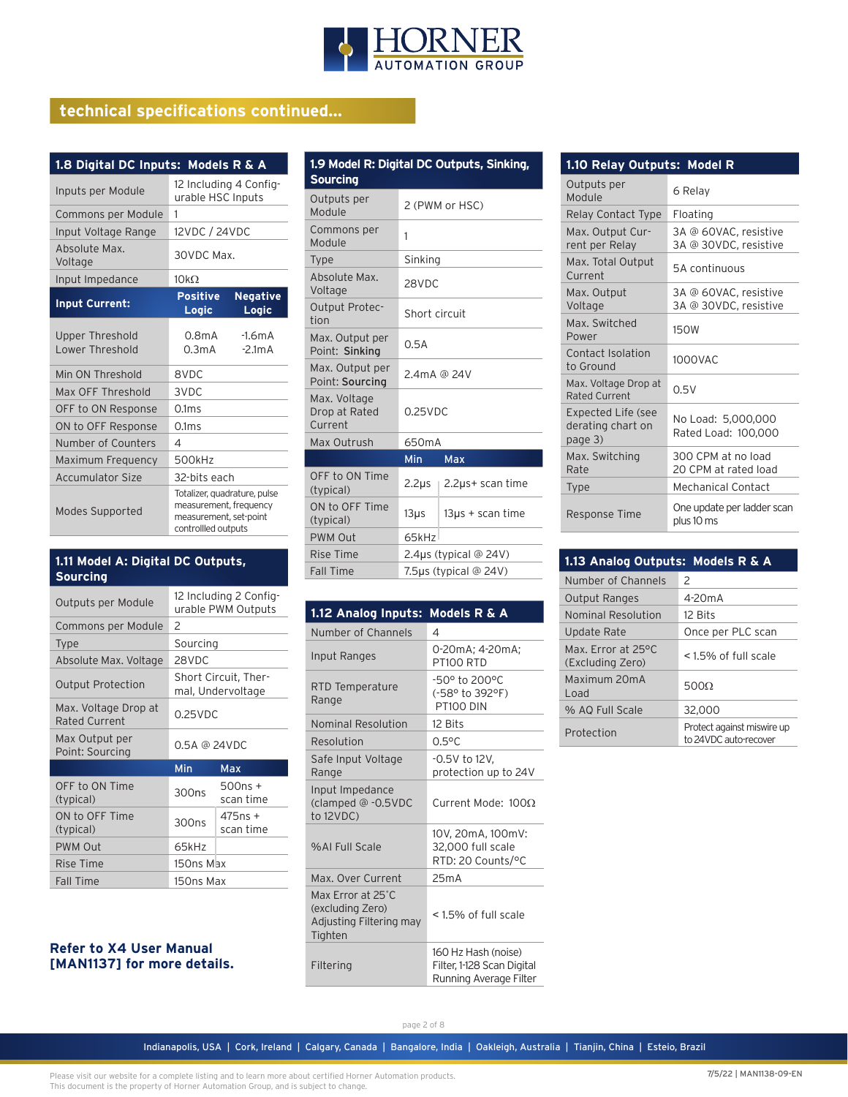

# **technical specifications continued...**

| 1.8 Digital DC Inputs: Models R & A       |                                                                                                         |  |
|-------------------------------------------|---------------------------------------------------------------------------------------------------------|--|
| Inputs per Module                         | 12 Including 4 Config-<br>urable HSC Inputs                                                             |  |
| Commons per Module                        | 1                                                                                                       |  |
| Input Voltage Range                       | 12VDC / 24VDC                                                                                           |  |
| Absolute Max.<br>Voltage                  | 30VDC Max.                                                                                              |  |
| Input Impedance                           | 10k <sub>O</sub>                                                                                        |  |
| <b>Input Current:</b>                     | <b>Positive</b><br><b>Negative</b><br>Logic<br>Logic                                                    |  |
| <b>Upper Threshold</b><br>Lower Threshold | $0.8m$ A<br>$-1.6mA$<br>0.3mA<br>$-2.1mA$                                                               |  |
| Min ON Threshold                          | 8VDC                                                                                                    |  |
| Max OFF Threshold                         | 3VDC                                                                                                    |  |
| OFF to ON Response                        | 0.1 <sub>ms</sub>                                                                                       |  |
| ON to OFF Response                        | 0.1ms                                                                                                   |  |
| Number of Counters                        | 4                                                                                                       |  |
| Maximum Frequency                         | 500kHz                                                                                                  |  |
| <b>Accumulator Size</b>                   | 32-bits each                                                                                            |  |
| <b>Modes Supported</b>                    | Totalizer, quadrature, pulse<br>measurement, frequency<br>measurement, set-point<br>controllled outputs |  |

#### **FALL THE RANGE A: Digital DC Outputs, 1.11 Model A: Digital DC Outputs,** <br>**1.11 Model A: Digital DC Outputs, 1.11** Fall Time **1.5** Tags (typical @ 24V) **Sourcing**

| Outputs per Module                    |                   | 12 Including 2 Config-<br>urable PWM Outputs |
|---------------------------------------|-------------------|----------------------------------------------|
| Commons per Module                    | 2                 |                                              |
| <b>Type</b>                           | Sourcing          |                                              |
| Absolute Max. Voltage                 | 28VDC             |                                              |
| <b>Output Protection</b>              |                   | Short Circuit, Ther-<br>mal, Undervoltage    |
| Max. Voltage Drop at<br>Rated Current | $0.25$ VDC        |                                              |
| Max Output per                        | 0.5A @ 24VDC      |                                              |
| Point: Sourcing                       |                   |                                              |
|                                       | Min               | Max                                          |
| OFF to ON Time<br>(typical)           | 300 <sub>ns</sub> | 500ns +<br>scan time                         |
| ON to OFF Time<br>(typical)           | 300 <sub>ns</sub> | $475ns +$<br>scan time                       |
| <b>PWM Out</b>                        | 65kHz             |                                              |
| <b>Rise Time</b>                      | 150ns Max         |                                              |

#### **Refer to X4 User Manual [MAN1137] for more details.**

| 1.9 Model R: Digital DC Outputs, Sinking,<br><b>Sourcing</b> |                             |                       |
|--------------------------------------------------------------|-----------------------------|-----------------------|
| Outputs per<br><b>Module</b>                                 | 2 (PWM or HSC)              |                       |
| Commons per<br>Module                                        | 1                           |                       |
| <b>Type</b>                                                  | Sinking                     |                       |
| Absolute Max.<br>Voltage                                     | 28VDC                       |                       |
| <b>Output Protec-</b><br>tion                                | Short circuit               |                       |
| Max. Output per<br>Point: Sinking                            | 0.5A                        |                       |
| Max. Output per<br>Point: Sourcing                           | 2.4mA @ 24V                 |                       |
| Max. Voltage<br>Drop at Rated<br>Current                     | $0.25$ VDC                  |                       |
| Max Outrush                                                  | 650mA                       |                       |
| Min<br>Max                                                   |                             |                       |
| OFF to ON Time<br>(typical)                                  | $2.2\mu s$                  | 2.2µs+ scan time      |
| ON to OFF Time<br>(typical)                                  | $13\mu$ s                   | $13\mu s +$ scan time |
| PWM Out                                                      | 65kHz                       |                       |
| Rise Time                                                    | 2.4 $\mu$ s (typical @ 24V) |                       |
| Fall Tima                                                    | $7E$ us (tunical @ $241$ )  |                       |

| 1.12 Analog Inputs:                                                         | <b>Models R &amp; A</b>                                                     |
|-----------------------------------------------------------------------------|-----------------------------------------------------------------------------|
| Number of Channels                                                          | 4                                                                           |
| Input Ranges                                                                | 0-20mA; 4-20mA;<br>PT100 RTD                                                |
| RTD Temperature<br>Range                                                    | $-50^{\circ}$ to 200 $^{\circ}$ C<br>(-58° to 392°F)<br>PT100 DIN           |
| Nominal Resolution                                                          | 12 Bits                                                                     |
| Resolution                                                                  | $0.5^{\circ}$ C                                                             |
| Safe Input Voltage<br>Range                                                 | $-0.5V$ to 12V,<br>protection up to 24V                                     |
| Input Impedance<br>(clamped @ -0.5VDC<br>to $12VDC$ )                       | Current Mode: $100\Omega$                                                   |
| %AI Full Scale                                                              | 10V, 20mA, 100mV:<br>32,000 full scale<br>RTD: 20 Counts/°C                 |
| Max. Over Current                                                           | 25mA                                                                        |
| Max Error at 25°C<br>(excluding Zero)<br>Adjusting Filtering may<br>Tighten | <1.5% of full scale                                                         |
| Filtering                                                                   | 160 Hz Hash (noise)<br>Filter, 1-128 Scan Digital<br>Running Average Filter |

| 1.10 Relay Outputs: Model R                               |                                                |  |
|-----------------------------------------------------------|------------------------------------------------|--|
| Outputs per<br>Module                                     | 6 Relay                                        |  |
| Relay Contact Type                                        | Floating                                       |  |
| Max. Output Cur-<br>rent per Relay                        | 3A @ 60VAC, resistive<br>3A @ 30VDC, resistive |  |
| Max. Total Output<br>Current                              | 5A continuous                                  |  |
| Max. Output<br>Voltage                                    | 3A @ 60VAC, resistive<br>3A @ 30VDC, resistive |  |
| Max. Switched<br>Power                                    | <b>150W</b>                                    |  |
| Contact Isolation<br>to Ground                            | 1000VAC                                        |  |
| Max. Voltage Drop at<br><b>Rated Current</b>              | 0.5V                                           |  |
| <b>Expected Life (see</b><br>derating chart on<br>page 3) | No Load: 5,000,000<br>Rated Load: 100,000      |  |
| Max. Switching<br>Rate                                    | 300 CPM at no load<br>20 CPM at rated load     |  |
| <b>Type</b>                                               | Mechanical Contact                             |  |
| Response Time                                             | One update per ladder scan<br>plus 10 ms       |  |

| 1.13 Analog Outputs: Models R & A      |                                                     |
|----------------------------------------|-----------------------------------------------------|
| Number of Channels                     | $\mathcal{P}$                                       |
| <b>Output Ranges</b>                   | 4-20 <sub>m</sub> A                                 |
| Nominal Resolution                     | 12 Bits                                             |
| Update Rate                            | Once per PLC scan                                   |
| Max. Error at 25°C<br>(Excluding Zero) | <1.5% of full scale                                 |
| Maximum 20mA<br>Load                   | 5000                                                |
| % AQ Full Scale                        | 32,000                                              |
| Protection                             | Protect against miswire up<br>to 24VDC auto-recover |

Indianapolis, USA | Cork, Ireland | Calgary, Canada | Bangalore, India | Oakleigh, Australia | Tianjin, China | Esteio, Brazil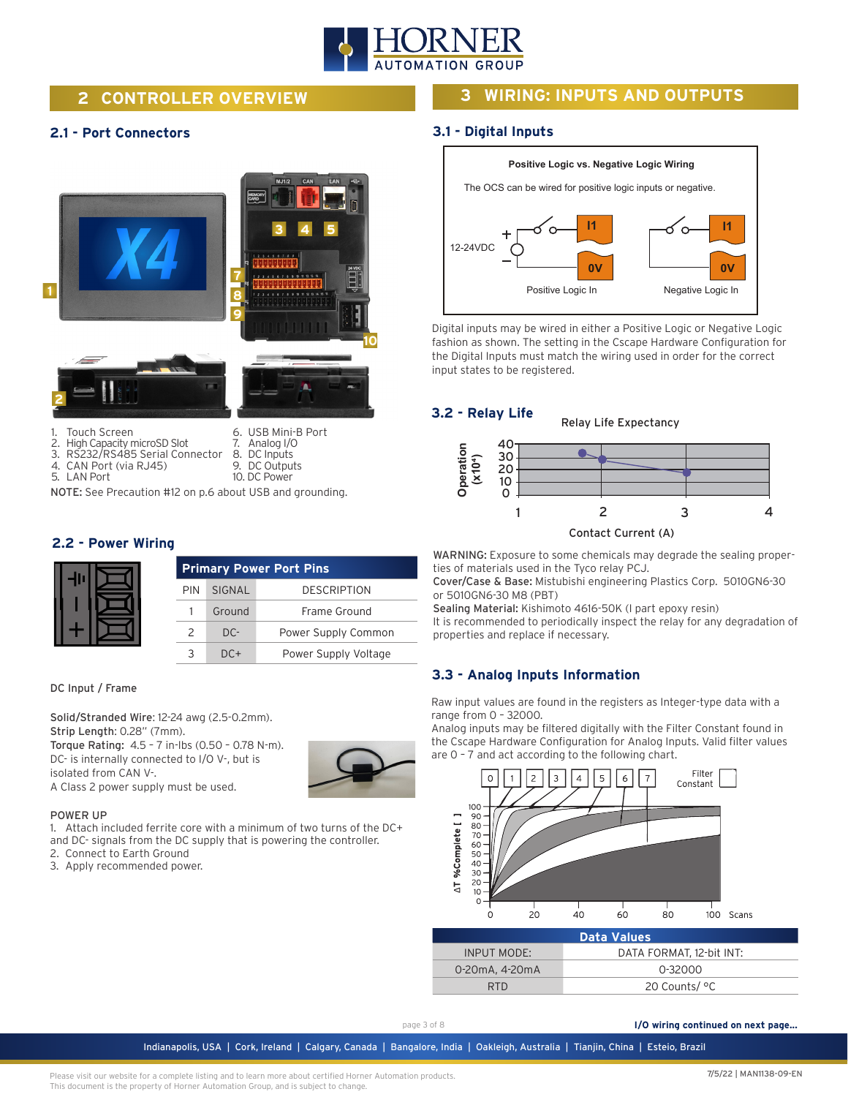

# **2 CONTROLLER OVERVIEW**

### **2.1 - Port Connectors**



5. LAN Port

1. Touch Screen<br>2. High Capacity r 2. High Capacity microSD Slot

4. CAN Port (via RJ45)

3. RS232/RS485 Serial Connector

- 6. USB Mini-B Port 7. Analog I/O 8. DC Inputs 9. DC Outputs
- 10. DC Power

NOTE: See Precaution #12 on p.6 about USB and grounding.

#### **2.2 - Power Wiring**

|            | <b>Primary Power Port Pins</b> |                      |  |
|------------|--------------------------------|----------------------|--|
| <b>PIN</b> | SIGNAL                         | <b>DESCRIPTION</b>   |  |
|            | Ground                         | Frame Ground         |  |
| 2          | $DC-$                          | Power Supply Common  |  |
|            | DC+                            | Power Supply Voltage |  |

#### DC Input / Frame

Solid/Stranded Wire: 12-24 awg (2.5-0.2mm). Strip Length: 0.28" (7mm). Torque Rating: 4.5 – 7 in-lbs (0.50 – 0.78 N-m). DC- is internally connected to I/O V-, but is isolated from CAN V-. A Class 2 power supply must be used.



#### POWER UP

1. Attach included ferrite core with a minimum of two turns of the DC+ and DC- signals from the DC supply that is powering the controller.

- 2. Connect to Earth Ground
- 3. Apply recommended power.

# **3 WIRING: INPUTS AND OUTPUTS**

#### **3.1 - Digital Inputs**



Digital inputs may be wired in either a Positive Logic or Negative Logic fashion as shown. The setting in the Cscape Hardware Configuration for the Digital Inputs must match the wiring used in order for the correct input states to be registered.



WARNING: Exposure to some chemicals may degrade the sealing properties of materials used in the Tyco relay PCJ.

Cover/Case & Base: Mistubishi engineering Plastics Corp. 5010GN6-30 or 5010GN6-30 M8 (PBT)

Sealing Material: Kishimoto 4616-50K (I part epoxy resin)

It is recommended to periodically inspect the relay for any degradation of properties and replace if necessary.

#### **3.3 - Analog Inputs Information**

Raw input values are found in the registers as Integer-type data with a range from 0 – 32000.

Analog inputs may be filtered digitally with the Filter Constant found in the Cscape Hardware Configuration for Analog Inputs. Valid filter values are 0 – 7 and act according to the following chart.



| <b>Data Values</b> |                          |  |
|--------------------|--------------------------|--|
| INPUT MODE:        | DATA FORMAT. 12-bit INT: |  |
| 0-20mA, 4-20mA     | 0-32000                  |  |
| RTD.               | 20 Counts/ °C            |  |

page 3 of 8

**I/O wiring continued on next page...**

Indianapolis, USA | Cork, Ireland | Calgary, Canada | Bangalore, India | Oakleigh, Australia | Tianjin, China | Esteio, Brazil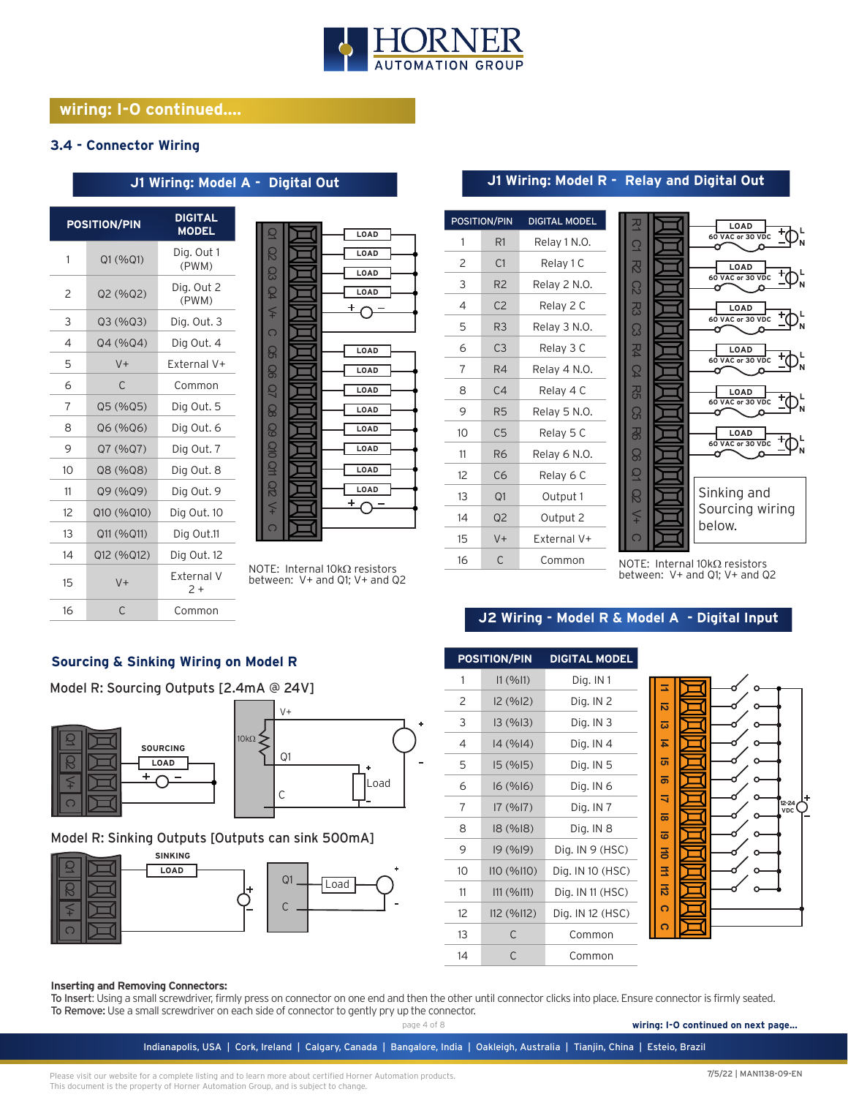

# **wiring: I-O continued....**

#### **3.4 - Connector Wiring**

|                | <b>POSITION/PIN</b> | <b>DIGITAL</b><br><b>MODEL</b> |
|----------------|---------------------|--------------------------------|
| 1              | Q1 (%Q1)            | Dig. Out 1<br>(PWM)            |
| $\overline{c}$ | Q2 (%Q2)            | Dig. Out 2<br>(PWM)            |
| 3              | Q3(%Q3)             | Dig. Out. 3                    |
| 4              | Q4 (%Q4)            | Dig Out. 4                     |
| 5              | $V +$               | Fxternal V+                    |
| 6              | C                   | Common                         |
| 7              | Q5 (%Q5)            | Dig Out. 5                     |
| 8              | Q6 (%Q6)            | Dig Out. 6                     |
| 9              | Q7 (%Q7)            | Dig Out. 7                     |
| 10             | Q8 (%Q8)            | Dig Out. 8                     |
| 11             | Q9 (%Q9)            | Dig Out. 9                     |
| 12             | Q10 (%Q10)          | Dig Out. 10                    |
| 13             | Q11 (%Q11)          | Dig Out.11                     |
| 14             | Q12 (%Q12)          | Dig Out. 12                    |
| 15             | $V +$               | External V<br>$2+$             |
| 16             | C                   | Common                         |

# **J1 Wiring: Model A - Digital Out**



NOTE: Internal 10kΩ resistors between: V+ and Q1; V+ and Q2

| <b>POSITION/PIN</b> |                | <b>DIGITAL MODEL</b> |
|---------------------|----------------|----------------------|
| 1                   | R1             | Relay 1 N.O.         |
| 2                   | C1             | Relay 1 C            |
| 3                   | R <sub>2</sub> | Relay 2 N.O.         |
| 4                   | C <sub>2</sub> | Relay 2 C            |
| 5                   | R <sub>3</sub> | Relay 3 N.O.         |
| 6                   | C <sub>3</sub> | Relay 3 C            |
| 7                   | R4             | Relay 4 N.O.         |
| 8                   | C4             | Relay 4 C            |
| 9                   | R <sub>5</sub> | Relay 5 N.O.         |
| 10                  | C <sub>5</sub> | Relay 5 C            |
| 11                  | R <sub>6</sub> | Relay 6 N.O.         |
| 12                  | C <sub>6</sub> | Relay 6 C            |
| 13                  | Q1             | Output 1             |
| 14                  | Q <sub>2</sub> | Output 2             |
| 15                  | $V +$          | External V+          |
| 16                  | C              | Common               |

#### হ **LOAD** ক **60 VAC or 30 VDC L**  $\overline{C}$ **N** o <u>ମ</u> **LOAD L 60 VAC or 30 VDC** C2 **N** o R<sub>3</sub> **LOAD L 60 VAC or 30 VDC** C3 **N** R4 **LOAD L 60 VAC or 30 VDC** C4 **N** R5 **LOAD L 60 VAC or 30 VDC**  $\Omega$ **N**  $\sim$  $\overline{8}$ **LOAD L 60 VAC or 30 VDC** C6 **N** ö  $\overline{Q}$

Sinking and Sourcing wiring below.

NOTE: Internal 10kΩ resistors<br>between: V+ and Q1; V+ and Q2

# **J2 Wiring - Model R & Model A - Digital Input**

Q2  $\leq$  $\overline{C}$ 

**J1 Wiring: Model R - Relay and Digital Out**

#### **Sourcing & Sinking Wiring on Model R**

Model R: Sourcing Outputs [2.4mA @ 24V]



#### Model R: Sinking Outputs [Outputs can sink 500mA]



| 1  | 11 (%11)   | Dig. IN 1        |
|----|------------|------------------|
| 2  | I2 (%I2)   | Dig. IN 2        |
| 3  | 13(%13)    | Dig. IN 3        |
| 4  | 14(%14)    | Dig. IN $4$      |
| 5  | 15(%15)    | Dig. IN 5        |
| 6  | 16(%16)    | Dig. IN 6        |
| 7  | 17(%17)    | Dig. IN 7        |
| 8  | 18 (%18)   | Dig. IN 8        |
| 9  | 19(%19)    | Dig. IN 9 (HSC)  |
| 10 | 110 (%110) | Dig. IN 10 (HSC) |
| 11 | 111 (%111) | Dig. IN 11 (HSC) |
| 12 | I12 (%I12) | Dig. IN 12 (HSC) |
| 13 | C          | Common           |
| 14 | C          | Common           |

**POSITION/PIN DIGITAL MODEL**



#### **Inserting and Removing Connectors:**

To Insert: Using a small screwdriver, firmly press on connector on one end and then the other until connector clicks into place. Ensure connector is firmly seated. To Remove: Use a small screwdriver on each side of connector to gently pry up the connector.

page 4 of 8

**wiring: I-O continued on next page...**

Indianapolis, USA | Cork, Ireland | Calgary, Canada | Bangalore, India | Oakleigh, Australia | Tianjin, China | Esteio, Brazil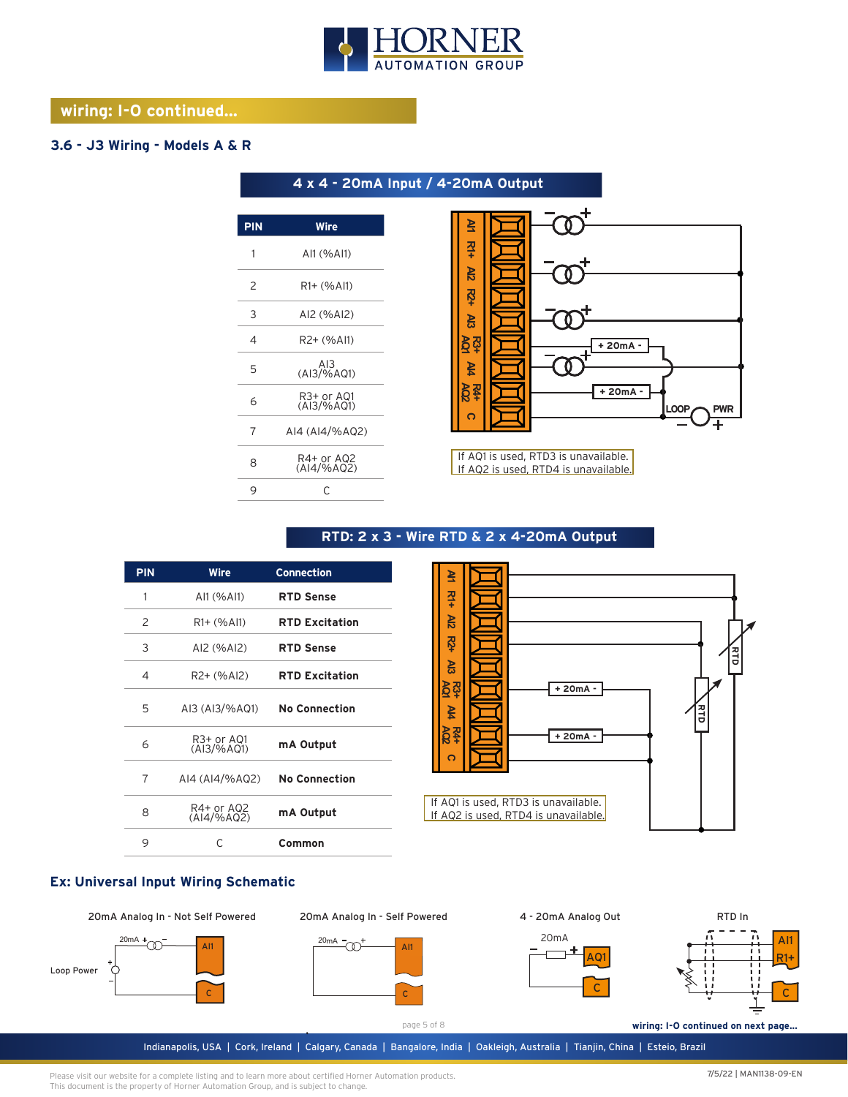

**4 x 4 - 20mA Input / 4-20mA Output** 

# **wiring: I-O continued...**

## **3.6 - J3 Wiring - Models A & R**

| <b>PIN</b> | Wire                     |
|------------|--------------------------|
| 1          | AI1 (%AI1)               |
| 2          | $R1 + (%A11)$            |
| 3          | AI2 (%AI2)               |
| 4          | R2+ (%Al1)               |
| 5          | AI3<br>(AI3/%A01)        |
| 6          | R3+ or A01<br>(AI3/%AQ1) |
| 7          | AI4 (AI4/%AQ2)           |
| 8          | R4+ or AQ2<br>(AI4/%AQ2) |
| 9          | C                        |
|            |                          |



If AQ1 is used, RTD3 is unavailable. If AQ2 is used, RTD4 is unavailable.

# **RTD: 2 x 3 - Wire RTD & 2 x 4-20mA Output**

| <b>PIN</b> | <b>Wire</b>                           | <b>Connection</b>     |
|------------|---------------------------------------|-----------------------|
| 1          | AI1 (%AI1)                            | <b>RTD Sense</b>      |
| 2          | R1+ (%Al1)                            | <b>RTD Excitation</b> |
| 3          | AI2 (%AI2)                            | <b>RTD Sense</b>      |
| 4          | R2+ (%AI2)                            | <b>RTD Excitation</b> |
| 5          | AI3 (AI3/%AQ1)                        | <b>No Connection</b>  |
| 6          | R <sub>3</sub> + or AQ1<br>(AI3/%AQ1) | mA Output             |
| 7          | AI4 (AI4/%AQ2)                        | <b>No Connection</b>  |
| 8          | R4+ or AQ2<br>(AI4/%AQ2)              | mA Output             |
| 9          | C                                     | Common                |



#### **Ex: Universal Input Wiring Schematic**

20mA Analog In - Not Self Powered









page 5 of 8

Indianapolis, USA | Cork, Ireland | Calgary, Canada | Bangalore, India | Oakleigh, Australia | Tianjin, China | Esteio, Brazil **wiring: I-O continued on next page...**

C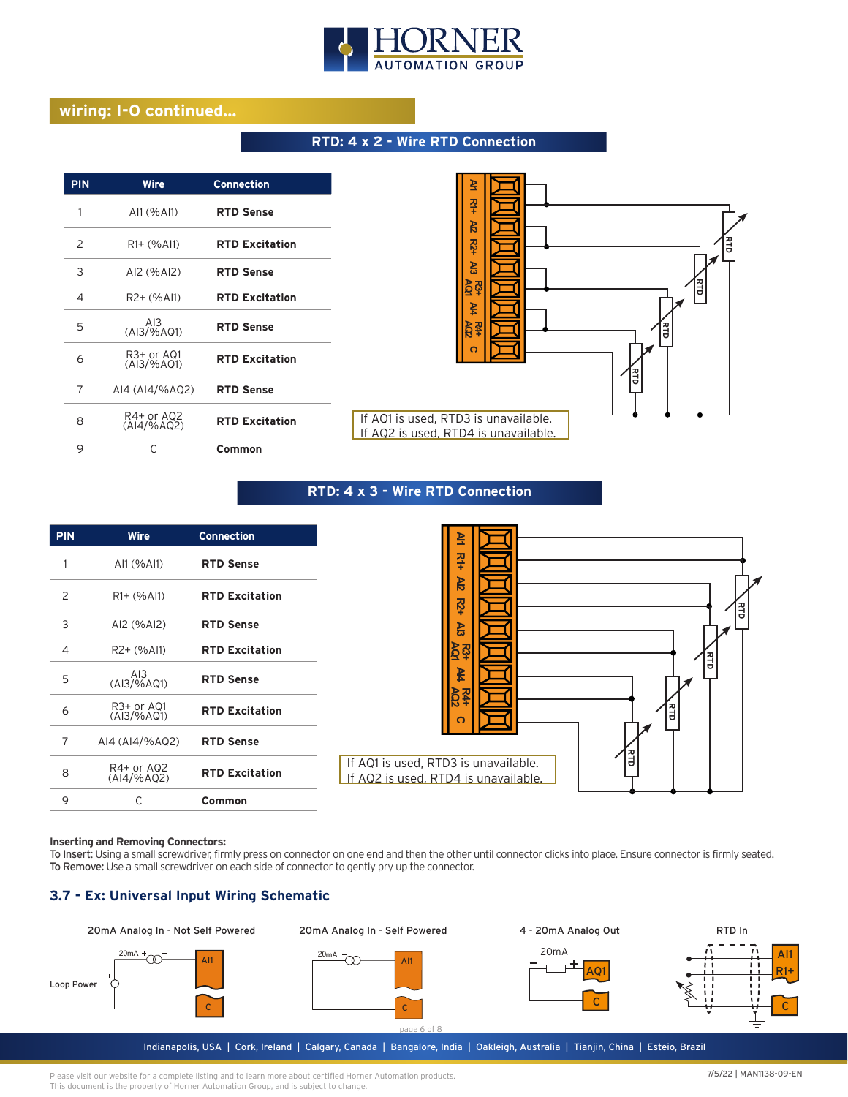

# **wiring: I-O continued...**

#### **RTD: 4 x 2 - Wire RTD Connection**

| <b>PIN</b> | Wire                                      | <b>Connection</b>     |
|------------|-------------------------------------------|-----------------------|
| 1          | AI1 (%AI1)                                | <b>RTD Sense</b>      |
| 2          | R1+ (%Al1)                                | <b>RTD Excitation</b> |
| 3          | AI2 (%AI2)                                | <b>RTD Sense</b>      |
| 4          | R <sub>2</sub> + (%AI1)                   | <b>RTD Excitation</b> |
| 5          | AI3<br>$(A13/\% AQ1)$                     | <b>RTD Sense</b>      |
| 6          | R <sub>3</sub> + or AQ1<br>$(A13/\% AQ1)$ | <b>RTD Excitation</b> |
| 7          | AI4 (AI4/%AQ2)                            | <b>RTD Sense</b>      |
| 8          | R4+ or AQ2<br>$(A 4/\%AO2)$               | <b>RTD Excitation</b> |
| 9          | C                                         | Common                |



#### **RTD: 4 x 3 - Wire RTD Connection**



#### **Inserting and Removing Connectors:**

To Insert: Using a small screwdriver, firmly press on connector on one end and then the other until connector clicks into place. Ensure connector is firmly seated. To Remove: Use a small screwdriver on each side of connector to gently pry up the connector.

### **3.7 - Ex: Universal Input Wiring Schematic**

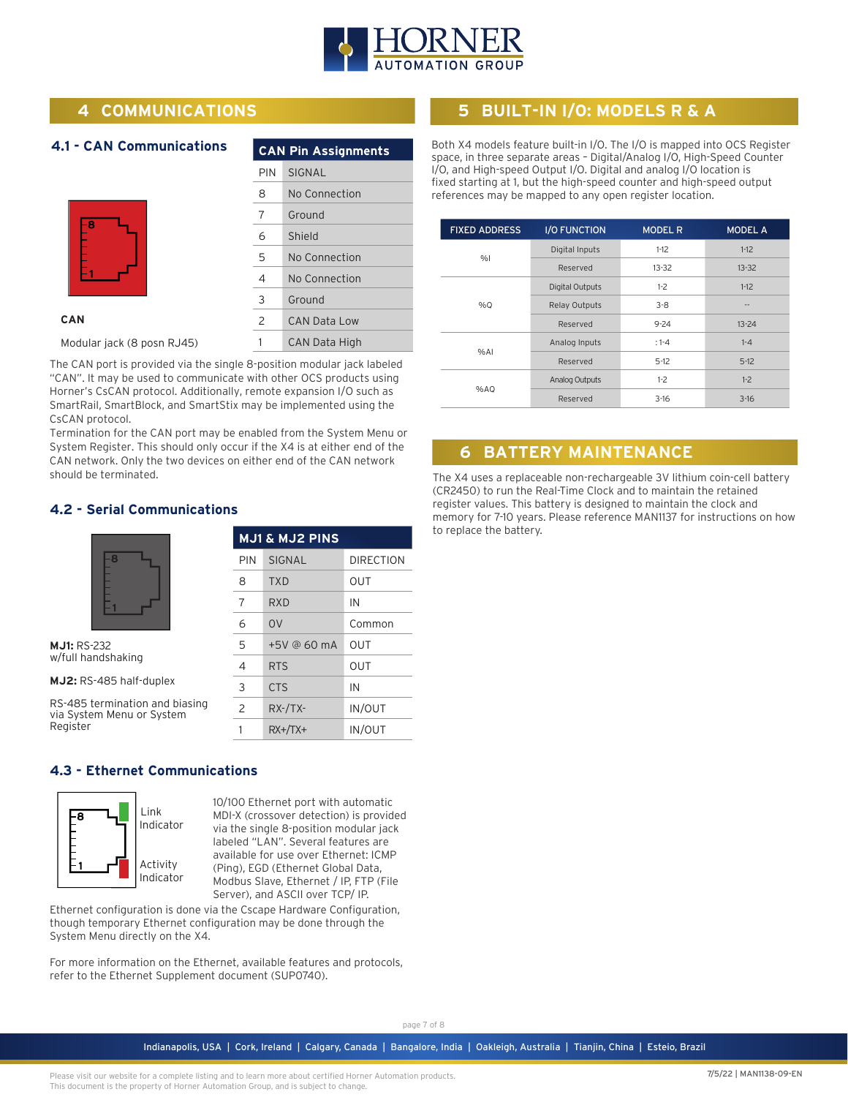

# **4 COMMUNICATIONS**

**4.1 - CAN Communications**

| -8 |  |
|----|--|
|    |  |
|    |  |
|    |  |

|     | <b>CAN Pin Assignments</b> |
|-----|----------------------------|
| PIN | SIGNAL                     |
| 8   | No Connection              |
| 7   | Ground                     |
| 6   | Shield                     |
| 5   | No Connection              |
| 4   | No Connection              |
| 3   | Ground                     |
| 2   | CAN Data Low               |
|     | CAN Data High              |

**CAN**

Modular jack (8 posn RJ45)

The CAN port is provided via the single 8-position modular jack labeled "CAN". It may be used to communicate with other OCS products using Horner's CsCAN protocol. Additionally, remote expansion I/O such as SmartRail, SmartBlock, and SmartStix may be implemented using the CsCAN protocol.

Termination for the CAN port may be enabled from the System Menu or System Register. This should only occur if the X4 is at either end of the CAN network. Only the two devices on either end of the CAN network should be terminated.

### **4.2 - Serial Communications**



**MJ1:** RS-232 w/full handshaking

**MJ2:** RS-485 half-duplex

RS-485 termination and biasing via System Menu or System Register

| <b>MJ1 &amp; MJ2 PINS</b> |                |           |  |  |
|---------------------------|----------------|-----------|--|--|
| PIN                       | SIGNAL         | DIRECTION |  |  |
| 8                         | <b>TXD</b>     | OUT       |  |  |
| 7                         | RXD            | IN        |  |  |
| 6                         | O <sub>V</sub> | Common    |  |  |
| 5                         | +5V @ 60 mA    | OUT       |  |  |
| 4                         | <b>RTS</b>     | OUT       |  |  |
| 3                         | <b>CTS</b>     | IN        |  |  |
| $\mathcal{P}$             | $RX$ -/TX-     | IN/OUT    |  |  |
| 1                         | $RX+/TX+$      | IN/OUT    |  |  |

# **4.3 - Ethernet Communications**



10/100 Ethernet port with automatic MDI-X (crossover detection) is provided via the single 8-position modular jack labeled "LAN". Several features are available for use over Ethernet: ICMP (Ping), EGD (Ethernet Global Data, Modbus Slave, Ethernet / IP, FTP (File Server), and ASCII over TCP/ IP.

Ethernet configuration is done via the Cscape Hardware Configuration, though temporary Ethernet configuration may be done through the System Menu directly on the X4.

For more information on the Ethernet, available features and protocols, refer to the Ethernet Supplement document (SUP0740).

# **5 BUILT-IN I/O: MODELS R & A**

Both X4 models feature built-in I/O. The I/O is mapped into OCS Register space, in three separate areas – Digital/Analog I/O, High-Speed Counter I/O, and High-speed Output I/O. Digital and analog I/O location is fixed starting at 1, but the high-speed counter and high-speed output references may be mapped to any open register location.

| <b>FIXED ADDRESS</b> | <b>I/O FUNCTION</b>    | <b>MODEL R</b> | <b>MODEL A</b> |
|----------------------|------------------------|----------------|----------------|
|                      | Digital Inputs         | $1-12$         | $1-12$         |
| %                    | Reserved               | $13 - 32$      | $13 - 32$      |
|                      | <b>Digital Outputs</b> | $1-2$          | $1-12$         |
| %Q                   | <b>Relay Outputs</b>   | $3 - 8$        | --             |
|                      | Reserved               | $9 - 24$       | $13 - 24$      |
|                      | Analog Inputs          | $: 1 - 4$      | $1 - 4$        |
| %A                   | Reserved               | $5-12$         | $5 - 12$       |
|                      | Analog Outputs         | $1-2$          | $1-2$          |
| %AQ                  | Reserved               | $3 - 16$       | $3 - 16$       |

# **6 BATTERY MAINTENANCE**

The X4 uses a replaceable non-rechargeable 3V lithium coin-cell battery (CR2450) to run the Real-Time Clock and to maintain the retained register values. This battery is designed to maintain the clock and memory for 7-10 years. Please reference MAN1137 for instructions on how to replace the battery.